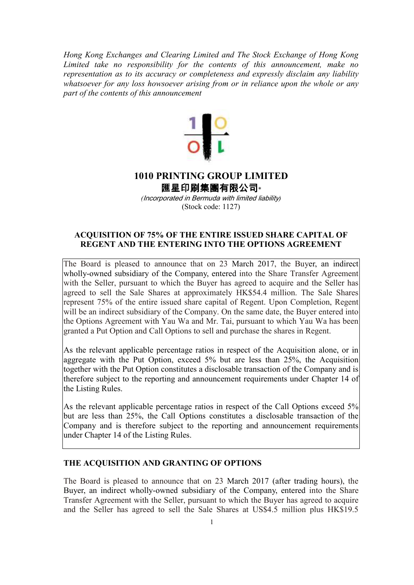*Hong Kong Exchanges and Clearing Limited and The Stock Exchange of Hong Kong Limited take no responsibility for the contents of this announcement, make no representation as to its accuracy or completeness and expressly disclaim any liability whatsoever for any loss howsoever arising from or in reliance upon the whole or any part of the contents of this announcement* 



# **1010 PRINTING GROUP LIMITED**

匯星印刷集團有限公司\*

*(*Incorporated in Bermuda with limited liability*)*  (Stock code: 1127)

# **ACQUISITION OF 75% OF THE ENTIRE ISSUED SHARE CAPITAL OF REGENT AND THE ENTERING INTO THE OPTIONS AGREEMENT**

The Board is pleased to announce that on 23 March 2017, the Buyer, an indirect wholly-owned subsidiary of the Company, entered into the Share Transfer Agreement with the Seller, pursuant to which the Buyer has agreed to acquire and the Seller has agreed to sell the Sale Shares at approximately HK\$54.4 million. The Sale Shares represent 75% of the entire issued share capital of Regent. Upon Completion, Regent will be an indirect subsidiary of the Company. On the same date, the Buyer entered into the Options Agreement with Yau Wa and Mr. Tai, pursuant to which Yau Wa has been granted a Put Option and Call Options to sell and purchase the shares in Regent.

As the relevant applicable percentage ratios in respect of the Acquisition alone, or in aggregate with the Put Option, exceed 5% but are less than 25%, the Acquisition together with the Put Option constitutes a disclosable transaction of the Company and is therefore subject to the reporting and announcement requirements under Chapter 14 of the Listing Rules.

As the relevant applicable percentage ratios in respect of the Call Options exceed 5% but are less than 25%, the Call Options constitutes a disclosable transaction of the Company and is therefore subject to the reporting and announcement requirements under Chapter 14 of the Listing Rules.

## **THE ACQUISITION AND GRANTING OF OPTIONS**

The Board is pleased to announce that on 23 March 2017 (after trading hours), the Buyer, an indirect wholly-owned subsidiary of the Company, entered into the Share Transfer Agreement with the Seller, pursuant to which the Buyer has agreed to acquire and the Seller has agreed to sell the Sale Shares at US\$4.5 million plus HK\$19.5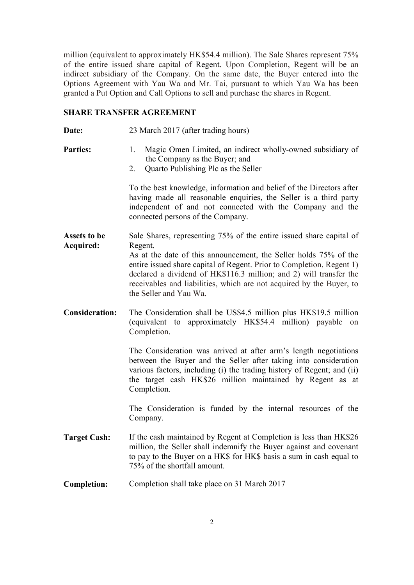million (equivalent to approximately HK\$54.4 million). The Sale Shares represent 75% of the entire issued share capital of Regent. Upon Completion, Regent will be an indirect subsidiary of the Company. On the same date, the Buyer entered into the Options Agreement with Yau Wa and Mr. Tai, pursuant to which Yau Wa has been granted a Put Option and Call Options to sell and purchase the shares in Regent.

### **SHARE TRANSFER AGREEMENT**

- **Date:** 23 March 2017 (after trading hours) **Parties:** 1. Magic Omen Limited, an indirect wholly-owned subsidiary of the Company as the Buyer; and 2. Quarto Publishing Plc as the Seller To the best knowledge, information and belief of the Directors after having made all reasonable enquiries, the Seller is a third party independent of and not connected with the Company and the connected persons of the Company.
- **Assets to be Acquired:**  Sale Shares, representing 75% of the entire issued share capital of Regent. As at the date of this announcement, the Seller holds 75% of the entire issued share capital of Regent. Prior to Completion, Regent 1) declared a dividend of HK\$116.3 million; and 2) will transfer the receivables and liabilities, which are not acquired by the Buyer, to the Seller and Yau Wa.
- **Consideration:** The Consideration shall be US\$4.5 million plus HK\$19.5 million (equivalent to approximately HK\$54.4 million) payable on Completion.

The Consideration was arrived at after arm's length negotiations between the Buyer and the Seller after taking into consideration various factors, including (i) the trading history of Regent; and (ii) the target cash HK\$26 million maintained by Regent as at Completion.

The Consideration is funded by the internal resources of the Company.

- **Target Cash:** If the cash maintained by Regent at Completion is less than HK\$26 million, the Seller shall indemnify the Buyer against and covenant to pay to the Buyer on a HK\$ for HK\$ basis a sum in cash equal to 75% of the shortfall amount.
- **Completion:** Completion shall take place on 31 March 2017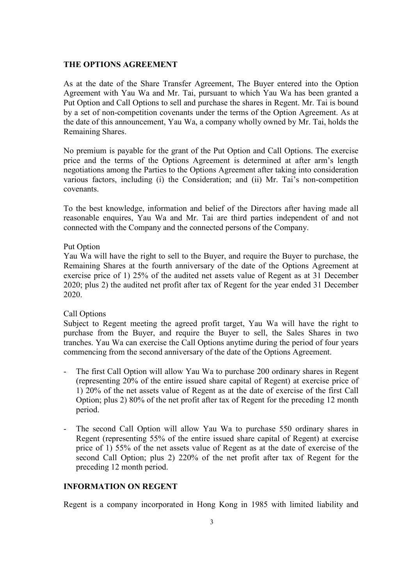### **THE OPTIONS AGREEMENT**

As at the date of the Share Transfer Agreement, The Buyer entered into the Option Agreement with Yau Wa and Mr. Tai, pursuant to which Yau Wa has been granted a Put Option and Call Options to sell and purchase the shares in Regent. Mr. Tai is bound by a set of non-competition covenants under the terms of the Option Agreement. As at the date of this announcement, Yau Wa, a company wholly owned by Mr. Tai, holds the Remaining Shares.

No premium is payable for the grant of the Put Option and Call Options. The exercise price and the terms of the Options Agreement is determined at after arm's length negotiations among the Parties to the Options Agreement after taking into consideration various factors, including (i) the Consideration; and (ii) Mr. Tai's non-competition covenants.

To the best knowledge, information and belief of the Directors after having made all reasonable enquires, Yau Wa and Mr. Tai are third parties independent of and not connected with the Company and the connected persons of the Company.

#### Put Option

Yau Wa will have the right to sell to the Buyer, and require the Buyer to purchase, the Remaining Shares at the fourth anniversary of the date of the Options Agreement at exercise price of 1) 25% of the audited net assets value of Regent as at 31 December 2020; plus 2) the audited net profit after tax of Regent for the year ended 31 December 2020.

#### Call Options

Subject to Regent meeting the agreed profit target, Yau Wa will have the right to purchase from the Buyer, and require the Buyer to sell, the Sales Shares in two tranches. Yau Wa can exercise the Call Options anytime during the period of four years commencing from the second anniversary of the date of the Options Agreement.

- The first Call Option will allow Yau Wa to purchase 200 ordinary shares in Regent (representing 20% of the entire issued share capital of Regent) at exercise price of 1) 20% of the net assets value of Regent as at the date of exercise of the first Call Option; plus 2) 80% of the net profit after tax of Regent for the preceding 12 month period.
- The second Call Option will allow Yau Wa to purchase 550 ordinary shares in Regent (representing 55% of the entire issued share capital of Regent) at exercise price of 1) 55% of the net assets value of Regent as at the date of exercise of the second Call Option; plus 2) 220% of the net profit after tax of Regent for the preceding 12 month period.

#### **INFORMATION ON REGENT**

Regent is a company incorporated in Hong Kong in 1985 with limited liability and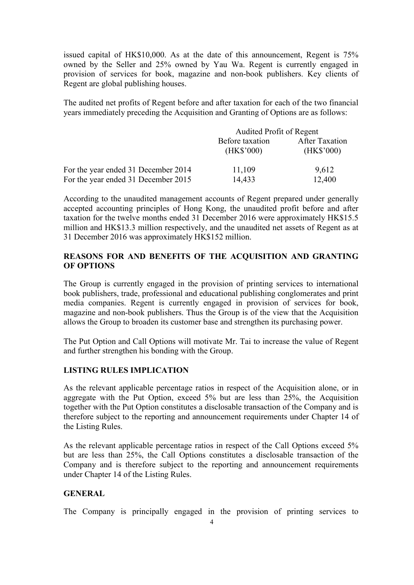issued capital of HK\$10,000. As at the date of this announcement, Regent is 75% owned by the Seller and 25% owned by Yau Wa. Regent is currently engaged in provision of services for book, magazine and non-book publishers. Key clients of Regent are global publishing houses.

The audited net profits of Regent before and after taxation for each of the two financial years immediately preceding the Acquisition and Granting of Options are as follows:

|                                     | Audited Profit of Regent      |                                     |
|-------------------------------------|-------------------------------|-------------------------------------|
|                                     | Before taxation<br>(HK\$'000) | <b>After Taxation</b><br>(HK\$'000) |
| For the year ended 31 December 2014 | 11,109                        | 9.612                               |
| For the year ended 31 December 2015 | 14,433                        | 12,400                              |

According to the unaudited management accounts of Regent prepared under generally accepted accounting principles of Hong Kong, the unaudited profit before and after taxation for the twelve months ended 31 December 2016 were approximately HK\$15.5 million and HK\$13.3 million respectively, and the unaudited net assets of Regent as at 31 December 2016 was approximately HK\$152 million.

# **REASONS FOR AND BENEFITS OF THE ACQUISITION AND GRANTING OF OPTIONS**

The Group is currently engaged in the provision of printing services to international book publishers, trade, professional and educational publishing conglomerates and print media companies. Regent is currently engaged in provision of services for book, magazine and non-book publishers. Thus the Group is of the view that the Acquisition allows the Group to broaden its customer base and strengthen its purchasing power.

The Put Option and Call Options will motivate Mr. Tai to increase the value of Regent and further strengthen his bonding with the Group.

# **LISTING RULES IMPLICATION**

As the relevant applicable percentage ratios in respect of the Acquisition alone, or in aggregate with the Put Option, exceed 5% but are less than 25%, the Acquisition together with the Put Option constitutes a disclosable transaction of the Company and is therefore subject to the reporting and announcement requirements under Chapter 14 of the Listing Rules.

As the relevant applicable percentage ratios in respect of the Call Options exceed 5% but are less than 25%, the Call Options constitutes a disclosable transaction of the Company and is therefore subject to the reporting and announcement requirements under Chapter 14 of the Listing Rules.

### **GENERAL**

The Company is principally engaged in the provision of printing services to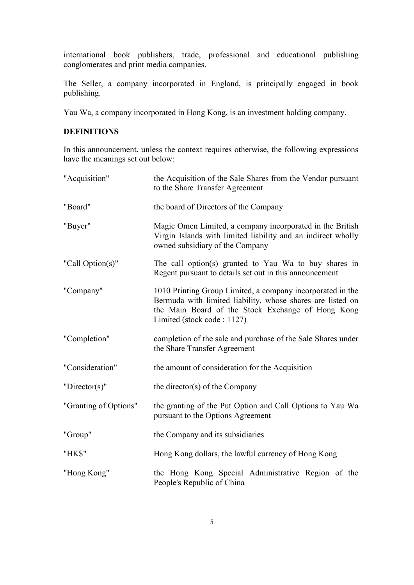international book publishers, trade, professional and educational publishing conglomerates and print media companies.

The Seller, a company incorporated in England, is principally engaged in book publishing.

Yau Wa, a company incorporated in Hong Kong, is an investment holding company.

### **DEFINITIONS**

In this announcement, unless the context requires otherwise, the following expressions have the meanings set out below:

| "Acquisition"         | the Acquisition of the Sale Shares from the Vendor pursuant<br>to the Share Transfer Agreement                                                                                                              |
|-----------------------|-------------------------------------------------------------------------------------------------------------------------------------------------------------------------------------------------------------|
| "Board"               | the board of Directors of the Company                                                                                                                                                                       |
| "Buyer"               | Magic Omen Limited, a company incorporated in the British<br>Virgin Islands with limited liability and an indirect wholly<br>owned subsidiary of the Company                                                |
| "Call Option(s)"      | The call option(s) granted to Yau Wa to buy shares in<br>Regent pursuant to details set out in this announcement                                                                                            |
| "Company"             | 1010 Printing Group Limited, a company incorporated in the<br>Bermuda with limited liability, whose shares are listed on<br>the Main Board of the Stock Exchange of Hong Kong<br>Limited (stock code: 1127) |
| "Completion"          | completion of the sale and purchase of the Sale Shares under<br>the Share Transfer Agreement                                                                                                                |
| "Consideration"       | the amount of consideration for the Acquisition                                                                                                                                                             |
| "Director(s)"         | the director(s) of the Company                                                                                                                                                                              |
| "Granting of Options" | the granting of the Put Option and Call Options to Yau Wa<br>pursuant to the Options Agreement                                                                                                              |
| "Group"               | the Company and its subsidiaries                                                                                                                                                                            |
| "HK\$"                | Hong Kong dollars, the lawful currency of Hong Kong                                                                                                                                                         |
| "Hong Kong"           | the Hong Kong Special Administrative Region of the<br>People's Republic of China                                                                                                                            |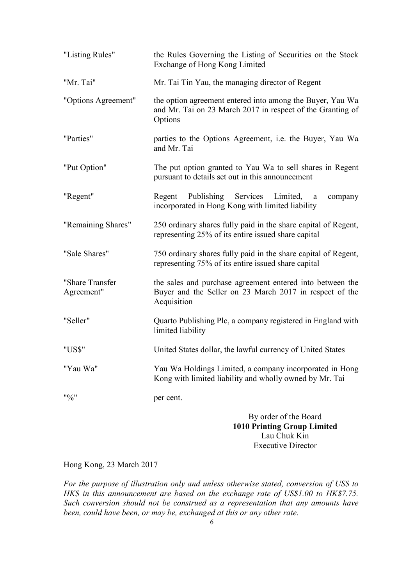| "Listing Rules"               | the Rules Governing the Listing of Securities on the Stock<br>Exchange of Hong Kong Limited                                         |
|-------------------------------|-------------------------------------------------------------------------------------------------------------------------------------|
| "Mr. Tai"                     | Mr. Tai Tin Yau, the managing director of Regent                                                                                    |
| "Options Agreement"           | the option agreement entered into among the Buyer, Yau Wa<br>and Mr. Tai on 23 March 2017 in respect of the Granting of<br>Options  |
| "Parties"                     | parties to the Options Agreement, i.e. the Buyer, Yau Wa<br>and Mr. Tai                                                             |
| "Put Option"                  | The put option granted to Yau Wa to sell shares in Regent<br>pursuant to details set out in this announcement                       |
| "Regent"                      | Publishing Services<br>Limited,<br>Regent<br>company<br>a<br>incorporated in Hong Kong with limited liability                       |
| "Remaining Shares"            | 250 ordinary shares fully paid in the share capital of Regent,<br>representing 25% of its entire issued share capital               |
| "Sale Shares"                 | 750 ordinary shares fully paid in the share capital of Regent,<br>representing 75% of its entire issued share capital               |
| "Share Transfer<br>Agreement" | the sales and purchase agreement entered into between the<br>Buyer and the Seller on 23 March 2017 in respect of the<br>Acquisition |
| "Seller"                      | Quarto Publishing Plc, a company registered in England with<br>limited liability                                                    |
| "US\$"                        | United States dollar, the lawful currency of United States                                                                          |
| "Yau Wa"                      | Yau Wa Holdings Limited, a company incorporated in Hong<br>Kong with limited liability and wholly owned by Mr. Tai                  |
| "9/0"                         | per cent.                                                                                                                           |

# By order of the Board **1010 Printing Group Limited**  Lau Chuk Kin Executive Director

### Hong Kong, 23 March 2017

*For the purpose of illustration only and unless otherwise stated, conversion of US\$ to HK\$ in this announcement are based on the exchange rate of US\$1.00 to HK\$7.75. Such conversion should not be construed as a representation that any amounts have been, could have been, or may be, exchanged at this or any other rate.*